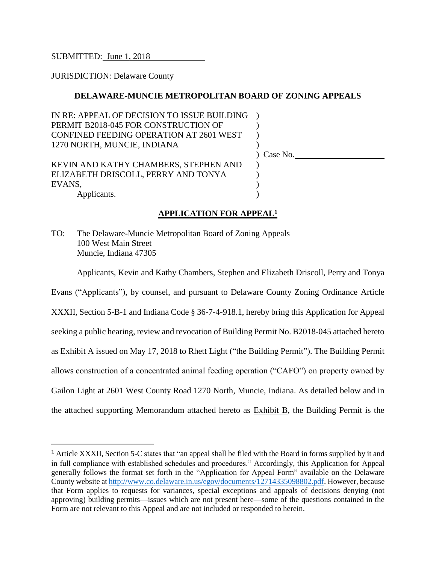SUBMITTED: June 1, 2018

JURISDICTION: Delaware County

 $\overline{a}$ 

# **DELAWARE-MUNCIE METROPOLITAN BOARD OF ZONING APPEALS**

| IN RE: APPEAL OF DECISION TO ISSUE BUILDING<br>PERMIT B2018-045 FOR CONSTRUCTION OF<br>CONFINED FEEDING OPERATION AT 2601 WEST |              |
|--------------------------------------------------------------------------------------------------------------------------------|--------------|
| 1270 NORTH, MUNCIE, INDIANA                                                                                                    | $)$ Case No. |
| KEVIN AND KATHY CHAMBERS, STEPHEN AND                                                                                          |              |
| ELIZABETH DRISCOLL, PERRY AND TONYA<br>EVANS,                                                                                  |              |
| Applicants.                                                                                                                    |              |

# **APPLICATION FOR APPEAL<sup>1</sup>**

TO: The Delaware-Muncie Metropolitan Board of Zoning Appeals 100 West Main Street Muncie, Indiana 47305

Applicants, Kevin and Kathy Chambers, Stephen and Elizabeth Driscoll, Perry and Tonya

Evans ("Applicants"), by counsel, and pursuant to Delaware County Zoning Ordinance Article XXXII, Section 5-B-1 and Indiana Code § 36-7-4-918.1, hereby bring this Application for Appeal seeking a public hearing, review and revocation of Building Permit No. B2018-045 attached hereto as Exhibit A issued on May 17, 2018 to Rhett Light ("the Building Permit"). The Building Permit allows construction of a concentrated animal feeding operation ("CAFO") on property owned by Gailon Light at 2601 West County Road 1270 North, Muncie, Indiana. As detailed below and in the attached supporting Memorandum attached hereto as Exhibit B, the Building Permit is the

<sup>1</sup> Article XXXII, Section 5-C states that "an appeal shall be filed with the Board in forms supplied by it and in full compliance with established schedules and procedures." Accordingly, this Application for Appeal generally follows the format set forth in the "Application for Appeal Form" available on the Delaware County website at [http://www.co.delaware.in.us/egov/documents/12714335098802.pdf.](http://www.co.delaware.in.us/egov/documents/12714335098802.pdf) However, because that Form applies to requests for variances, special exceptions and appeals of decisions denying (not approving) building permits—issues which are not present here—some of the questions contained in the Form are not relevant to this Appeal and are not included or responded to herein.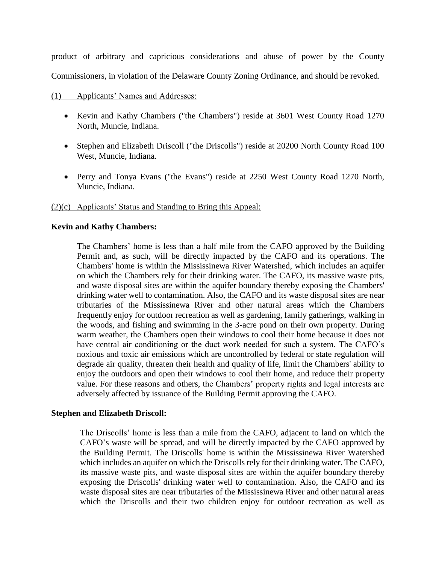product of arbitrary and capricious considerations and abuse of power by the County Commissioners, in violation of the Delaware County Zoning Ordinance, and should be revoked.

- (1) Applicants' Names and Addresses:
	- Kevin and Kathy Chambers ("the Chambers") reside at 3601 West County Road 1270 North, Muncie, Indiana.
	- Stephen and Elizabeth Driscoll ("the Driscolls") reside at 20200 North County Road 100 West, Muncie, Indiana.
	- Perry and Tonya Evans ("the Evans") reside at 2250 West County Road 1270 North, Muncie, Indiana.

# (2)(c) Applicants' Status and Standing to Bring this Appeal:

## **Kevin and Kathy Chambers:**

The Chambers' home is less than a half mile from the CAFO approved by the Building Permit and, as such, will be directly impacted by the CAFO and its operations. The Chambers' home is within the Mississinewa River Watershed, which includes an aquifer on which the Chambers rely for their drinking water. The CAFO, its massive waste pits, and waste disposal sites are within the aquifer boundary thereby exposing the Chambers' drinking water well to contamination. Also, the CAFO and its waste disposal sites are near tributaries of the Mississinewa River and other natural areas which the Chambers frequently enjoy for outdoor recreation as well as gardening, family gatherings, walking in the woods, and fishing and swimming in the 3-acre pond on their own property. During warm weather, the Chambers open their windows to cool their home because it does not have central air conditioning or the duct work needed for such a system. The CAFO's noxious and toxic air emissions which are uncontrolled by federal or state regulation will degrade air quality, threaten their health and quality of life, limit the Chambers' ability to enjoy the outdoors and open their windows to cool their home, and reduce their property value. For these reasons and others, the Chambers' property rights and legal interests are adversely affected by issuance of the Building Permit approving the CAFO.

## **Stephen and Elizabeth Driscoll:**

The Driscolls' home is less than a mile from the CAFO, adjacent to land on which the CAFO's waste will be spread, and will be directly impacted by the CAFO approved by the Building Permit. The Driscolls' home is within the Mississinewa River Watershed which includes an aquifer on which the Driscolls rely for their drinking water. The CAFO, its massive waste pits, and waste disposal sites are within the aquifer boundary thereby exposing the Driscolls' drinking water well to contamination. Also, the CAFO and its waste disposal sites are near tributaries of the Mississinewa River and other natural areas which the Driscolls and their two children enjoy for outdoor recreation as well as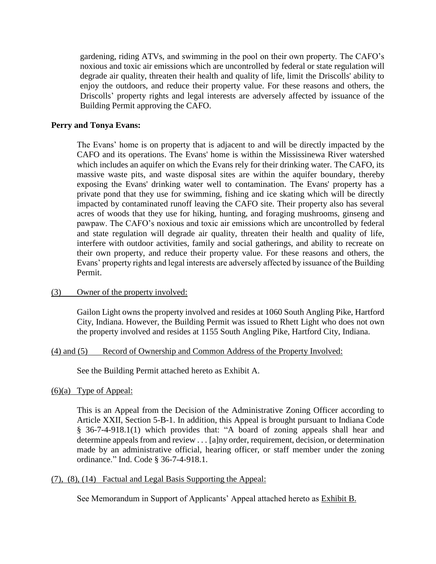gardening, riding ATVs, and swimming in the pool on their own property. The CAFO's noxious and toxic air emissions which are uncontrolled by federal or state regulation will degrade air quality, threaten their health and quality of life, limit the Driscolls' ability to enjoy the outdoors, and reduce their property value. For these reasons and others, the Driscolls' property rights and legal interests are adversely affected by issuance of the Building Permit approving the CAFO.

#### **Perry and Tonya Evans:**

The Evans' home is on property that is adjacent to and will be directly impacted by the CAFO and its operations. The Evans' home is within the Mississinewa River watershed which includes an aquifer on which the Evans rely for their drinking water. The CAFO, its massive waste pits, and waste disposal sites are within the aquifer boundary, thereby exposing the Evans' drinking water well to contamination. The Evans' property has a private pond that they use for swimming, fishing and ice skating which will be directly impacted by contaminated runoff leaving the CAFO site. Their property also has several acres of woods that they use for hiking, hunting, and foraging mushrooms, ginseng and pawpaw. The CAFO's noxious and toxic air emissions which are uncontrolled by federal and state regulation will degrade air quality, threaten their health and quality of life, interfere with outdoor activities, family and social gatherings, and ability to recreate on their own property, and reduce their property value. For these reasons and others, the Evans' property rights and legal interests are adversely affected by issuance of the Building Permit.

#### (3) Owner of the property involved:

Gailon Light owns the property involved and resides at 1060 South Angling Pike, Hartford City, Indiana. However, the Building Permit was issued to Rhett Light who does not own the property involved and resides at 1155 South Angling Pike, Hartford City, Indiana.

## (4) and (5) Record of Ownership and Common Address of the Property Involved:

See the Building Permit attached hereto as Exhibit A.

#### $(6)(a)$  Type of Appeal:

This is an Appeal from the Decision of the Administrative Zoning Officer according to Article XXII, Section 5-B-1. In addition, this Appeal is brought pursuant to Indiana Code § 36-7-4-918.1(1) which provides that: "A board of zoning appeals shall hear and determine appeals from and review . . . [a]ny order, requirement, decision, or determination made by an administrative official, hearing officer, or staff member under the zoning ordinance." Ind. Code § 36-7-4-918.1.

## (7), (8), (14) Factual and Legal Basis Supporting the Appeal:

See Memorandum in Support of Applicants' Appeal attached hereto as Exhibit B.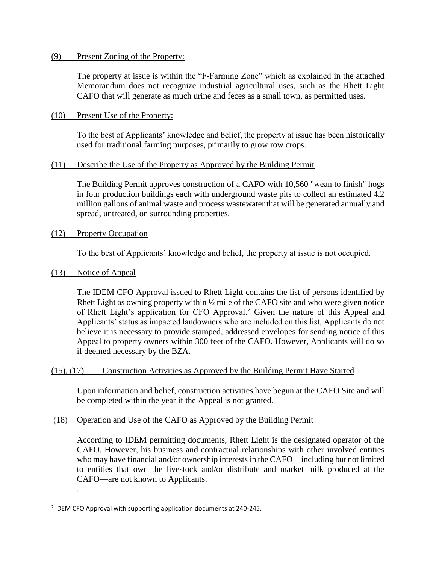#### (9) Present Zoning of the Property:

The property at issue is within the "F-Farming Zone" which as explained in the attached Memorandum does not recognize industrial agricultural uses, such as the Rhett Light CAFO that will generate as much urine and feces as a small town, as permitted uses.

# (10) Present Use of the Property:

To the best of Applicants' knowledge and belief, the property at issue has been historically used for traditional farming purposes, primarily to grow row crops.

## (11) Describe the Use of the Property as Approved by the Building Permit

The Building Permit approves construction of a CAFO with 10,560 "wean to finish" hogs in four production buildings each with underground waste pits to collect an estimated 4.2 million gallons of animal waste and process wastewater that will be generated annually and spread, untreated, on surrounding properties.

# (12) Property Occupation

To the best of Applicants' knowledge and belief, the property at issue is not occupied.

# (13) Notice of Appeal

.

 $\overline{a}$ 

The IDEM CFO Approval issued to Rhett Light contains the list of persons identified by Rhett Light as owning property within  $\frac{1}{2}$  mile of the CAFO site and who were given notice of Rhett Light's application for CFO Approval. <sup>2</sup> Given the nature of this Appeal and Applicants' status as impacted landowners who are included on this list, Applicants do not believe it is necessary to provide stamped, addressed envelopes for sending notice of this Appeal to property owners within 300 feet of the CAFO. However, Applicants will do so if deemed necessary by the BZA.

## (15), (17) Construction Activities as Approved by the Building Permit Have Started

Upon information and belief, construction activities have begun at the CAFO Site and will be completed within the year if the Appeal is not granted.

## (18) Operation and Use of the CAFO as Approved by the Building Permit

According to IDEM permitting documents, Rhett Light is the designated operator of the CAFO. However, his business and contractual relationships with other involved entities who may have financial and/or ownership interests in the CAFO—including but not limited to entities that own the livestock and/or distribute and market milk produced at the CAFO—are not known to Applicants.

<sup>&</sup>lt;sup>2</sup> IDEM CFO Approval with supporting application documents at 240-245.